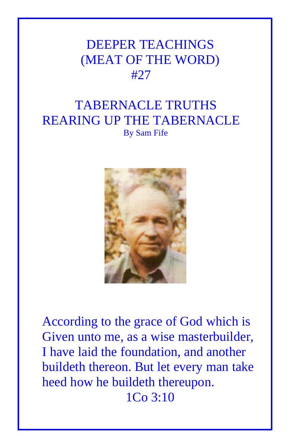## DEEPER TEACHINGS (MEAT OF THE WORD) #27

## TABERNACLE TRUTHS REARING UP THE TABERNACLE By Sam Fife



According to the grace of God which is Given unto me, as a wise masterbuilder, I have laid the foundation, and another buildeth thereon. But let every man take heed how he buildeth thereupon. 1Co 3:10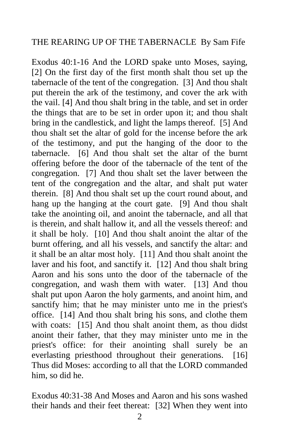## THE REARING UP OF THE TABERNACLE By Sam Fife

Exodus 40:1-16 And the LORD spake unto Moses, saying, [2] On the first day of the first month shalt thou set up the tabernacle of the tent of the congregation. [3] And thou shalt put therein the ark of the testimony, and cover the ark with the vail. [4] And thou shalt bring in the table, and set in order the things that are to be set in order upon it; and thou shalt bring in the candlestick, and light the lamps thereof. [5] And thou shalt set the altar of gold for the incense before the ark of the testimony, and put the hanging of the door to the tabernacle. [6] And thou shalt set the altar of the burnt offering before the door of the tabernacle of the tent of the congregation. [7] And thou shalt set the laver between the tent of the congregation and the altar, and shalt put water therein. [8] And thou shalt set up the court round about, and hang up the hanging at the court gate. [9] And thou shalt take the anointing oil, and anoint the tabernacle, and all that is therein, and shalt hallow it, and all the vessels thereof: and it shall be holy. [10] And thou shalt anoint the altar of the burnt offering, and all his vessels, and sanctify the altar: and it shall be an altar most holy. [11] And thou shalt anoint the laver and his foot, and sanctify it. [12] And thou shalt bring Aaron and his sons unto the door of the tabernacle of the congregation, and wash them with water. [13] And thou shalt put upon Aaron the holy garments, and anoint him, and sanctify him; that he may minister unto me in the priest's office. [14] And thou shalt bring his sons, and clothe them with coats: [15] And thou shalt anoint them, as thou didst anoint their father, that they may minister unto me in the priest's office: for their anointing shall surely be an everlasting priesthood throughout their generations. [16] Thus did Moses: according to all that the LORD commanded him, so did he.

Exodus 40:31-38 And Moses and Aaron and his sons washed their hands and their feet thereat: [32] When they went into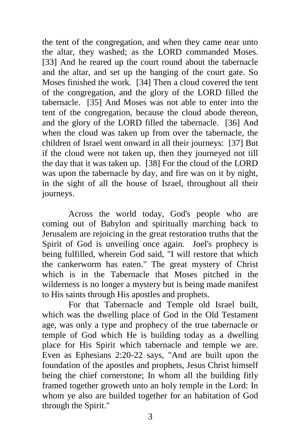the tent of the congregation, and when they came near unto the altar, they washed; as the LORD commanded Moses. [33] And he reared up the court round about the tabernacle and the altar, and set up the hanging of the court gate. So Moses finished the work. [34] Then a cloud covered the tent of the congregation, and the glory of the LORD filled the tabernacle. [35] And Moses was not able to enter into the tent of the congregation, because the cloud abode thereon, and the glory of the LORD filled the tabernacle. [36] And when the cloud was taken up from over the tabernacle, the children of Israel went onward in all their journeys: [37] But if the cloud were not taken up, then they journeyed not till the day that it was taken up. [38] For the cloud of the LORD was upon the tabernacle by day, and fire was on it by night, in the sight of all the house of Israel, throughout all their journeys.

Across the world today, God's people who are coming out of Babylon and spiritually marching back to Jerusalem are rejoicing in the great restoration truths that the Spirit of God is unveiling once again. Joel's prophecy is being fulfilled, wherein God said, "I will restore that which the cankerworm has eaten." The great mystery of Christ which is in the Tabernacle that Moses pitched in the wilderness is no longer a mystery but is being made manifest to His saints through His apostles and prophets.

For that Tabernacle and Temple old Israel built, which was the dwelling place of God in the Old Testament age, was only a type and prophecy of the true tabernacle or temple of God which He is building today as a dwelling place for His Spirit which tabernacle and temple we are. Even as Ephesians 2:20-22 says, "And are built upon the foundation of the apostles and prophets, Jesus Christ himself being the chief cornerstone; In whom all the building fitly framed together groweth unto an holy temple in the Lord: In whom ye also are builded together for an habitation of God through the Spirit."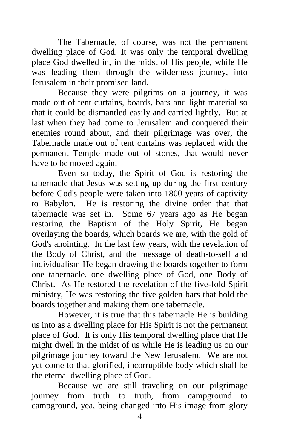The Tabernacle, of course, was not the permanent dwelling place of God. It was only the temporal dwelling place God dwelled in, in the midst of His people, while He was leading them through the wilderness journey, into Jerusalem in their promised land.

 Because they were pilgrims on a journey, it was made out of tent curtains, boards, bars and light material so that it could be dismantled easily and carried lightly. But at last when they had come to Jerusalem and conquered their enemies round about, and their pilgrimage was over, the Tabernacle made out of tent curtains was replaced with the permanent Temple made out of stones, that would never have to be moved again.

 Even so today, the Spirit of God is restoring the tabernacle that Jesus was setting up during the first century before God's people were taken into 1800 years of captivity to Babylon. He is restoring the divine order that that tabernacle was set in. Some 67 years ago as He began restoring the Baptism of the Holy Spirit, He began overlaying the boards, which boards we are, with the gold of God's anointing. In the last few years, with the revelation of the Body of Christ, and the message of death-to-self and individualism He began drawing the boards together to form one tabernacle, one dwelling place of God, one Body of Christ. As He restored the revelation of the five-fold Spirit ministry, He was restoring the five golden bars that hold the boards together and making them one tabernacle.

 However, it is true that this tabernacle He is building us into as a dwelling place for His Spirit is not the permanent place of God. It is only His temporal dwelling place that He might dwell in the midst of us while He is leading us on our pilgrimage journey toward the New Jerusalem. We are not yet come to that glorified, incorruptible body which shall be the eternal dwelling place of God.

 Because we are still traveling on our pilgrimage journey from truth to truth, from campground to campground, yea, being changed into His image from glory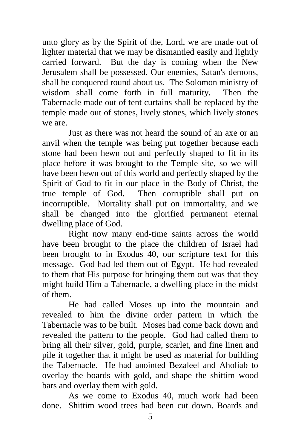unto glory as by the Spirit of the, Lord, we are made out of lighter material that we may be dismantled easily and lightly carried forward. But the day is coming when the New Jerusalem shall be possessed. Our enemies, Satan's demons, shall be conquered round about us. The Solomon ministry of wisdom shall come forth in full maturity. Then the Tabernacle made out of tent curtains shall be replaced by the temple made out of stones, lively stones, which lively stones we are.

 Just as there was not heard the sound of an axe or an anvil when the temple was being put together because each stone had been hewn out and perfectly shaped to fit in its place before it was brought to the Temple site, so we will have been hewn out of this world and perfectly shaped by the Spirit of God to fit in our place in the Body of Christ, the true temple of God. Then corruptible shall put on incorruptible. Mortality shall put on immortality, and we shall be changed into the glorified permanent eternal dwelling place of God.

 Right now many end-time saints across the world have been brought to the place the children of Israel had been brought to in Exodus 40, our scripture text for this message. God had led them out of Egypt. He had revealed to them that His purpose for bringing them out was that they might build Him a Tabernacle, a dwelling place in the midst of them.

 He had called Moses up into the mountain and revealed to him the divine order pattern in which the Tabernacle was to be built. Moses had come back down and revealed the pattern to the people. God had called them to bring all their silver, gold, purple, scarlet, and fine linen and pile it together that it might be used as material for building the Tabernacle. He had anointed Bezaleel and Aholiab to overlay the boards with gold, and shape the shittim wood bars and overlay them with gold.

 As we come to Exodus 40, much work had been done. Shittim wood trees had been cut down. Boards and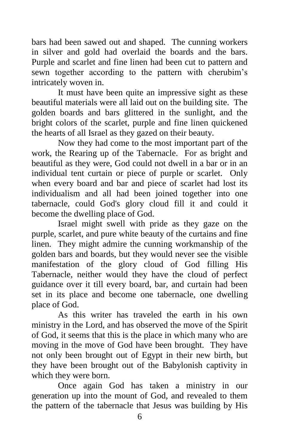bars had been sawed out and shaped. The cunning workers in silver and gold had overlaid the boards and the bars. Purple and scarlet and fine linen had been cut to pattern and sewn together according to the pattern with cherubim's intricately woven in.

 It must have been quite an impressive sight as these beautiful materials were all laid out on the building site. The golden boards and bars glittered in the sunlight, and the bright colors of the scarlet, purple and fine linen quickened the hearts of all Israel as they gazed on their beauty.

 Now they had come to the most important part of the work, the Rearing up of the Tabernacle. For as bright and beautiful as they were, God could not dwell in a bar or in an individual tent curtain or piece of purple or scarlet. Only when every board and bar and piece of scarlet had lost its individualism and all had been joined together into one tabernacle, could God's glory cloud fill it and could it become the dwelling place of God.

 Israel might swell with pride as they gaze on the purple, scarlet, and pure white beauty of the curtains and fine linen. They might admire the cunning workmanship of the golden bars and boards, but they would never see the visible manifestation of the glory cloud of God filling His Tabernacle, neither would they have the cloud of perfect guidance over it till every board, bar, and curtain had been set in its place and become one tabernacle, one dwelling place of God.

 As this writer has traveled the earth in his own ministry in the Lord, and has observed the move of the Spirit of God, it seems that this is the place in which many who are moving in the move of God have been brought. They have not only been brought out of Egypt in their new birth, but they have been brought out of the Babylonish captivity in which they were born.

 Once again God has taken a ministry in our generation up into the mount of God, and revealed to them the pattern of the tabernacle that Jesus was building by His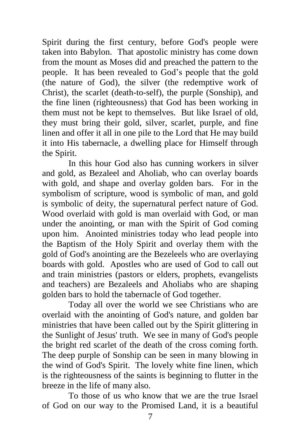Spirit during the first century, before God's people were taken into Babylon. That apostolic ministry has come down from the mount as Moses did and preached the pattern to the people. It has been revealed to God's people that the gold (the nature of God), the silver (the redemptive work of Christ), the scarlet (death-to-self), the purple (Sonship), and the fine linen (righteousness) that God has been working in them must not be kept to themselves. But like Israel of old, they must bring their gold, silver, scarlet, purple, and fine linen and offer it all in one pile to the Lord that He may build it into His tabernacle, a dwelling place for Himself through the Spirit.

 In this hour God also has cunning workers in silver and gold, as Bezaleel and Aholiab, who can overlay boards with gold, and shape and overlay golden bars. For in the symbolism of scripture, wood is symbolic of man, and gold is symbolic of deity, the supernatural perfect nature of God. Wood overlaid with gold is man overlaid with God, or man under the anointing, or man with the Spirit of God coming upon him. Anointed ministries today who lead people into the Baptism of the Holy Spirit and overlay them with the gold of God's anointing are the Bezeleels who are overlaying boards with gold. Apostles who are used of God to call out and train ministries (pastors or elders, prophets, evangelists and teachers) are Bezaleels and Aholiabs who are shaping golden bars to hold the tabernacle of God together.

 Today all over the world we see Christians who are overlaid with the anointing of God's nature, and golden bar ministries that have been called out by the Spirit glittering in the Sunlight of Jesus' truth. We see in many of God's people the bright red scarlet of the death of the cross coming forth. The deep purple of Sonship can be seen in many blowing in the wind of God's Spirit. The lovely white fine linen, which is the righteousness of the saints is beginning to flutter in the breeze in the life of many also.

 To those of us who know that we are the true Israel of God on our way to the Promised Land, it is a beautiful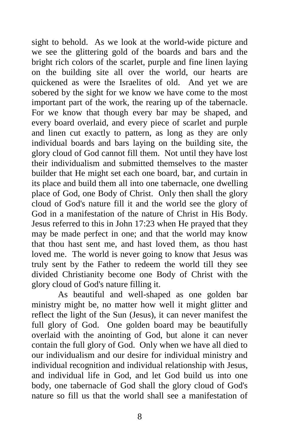sight to behold. As we look at the world-wide picture and we see the glittering gold of the boards and bars and the bright rich colors of the scarlet, purple and fine linen laying on the building site all over the world, our hearts are quickened as were the Israelites of old. And yet we are sobered by the sight for we know we have come to the most important part of the work, the rearing up of the tabernacle. For we know that though every bar may be shaped, and every board overlaid, and every piece of scarlet and purple and linen cut exactly to pattern, as long as they are only individual boards and bars laying on the building site, the glory cloud of God cannot fill them. Not until they have lost their individualism and submitted themselves to the master builder that He might set each one board, bar, and curtain in its place and build them all into one tabernacle, one dwelling place of God, one Body of Christ. Only then shall the glory cloud of God's nature fill it and the world see the glory of God in a manifestation of the nature of Christ in His Body. Jesus referred to this in John 17:23 when He prayed that they may be made perfect in one; and that the world may know that thou hast sent me, and hast loved them, as thou hast loved me. The world is never going to know that Jesus was truly sent by the Father to redeem the world till they see divided Christianity become one Body of Christ with the glory cloud of God's nature filling it.

 As beautiful and well-shaped as one golden bar ministry might be, no matter how well it might glitter and reflect the light of the Sun (Jesus), it can never manifest the full glory of God. One golden board may be beautifully overlaid with the anointing of God, but alone it can never contain the full glory of God. Only when we have all died to our individualism and our desire for individual ministry and individual recognition and individual relationship with Jesus, and individual life in God, and let God build us into one body, one tabernacle of God shall the glory cloud of God's nature so fill us that the world shall see a manifestation of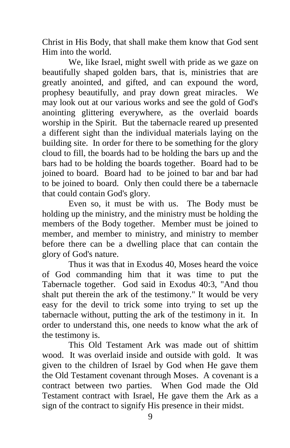Christ in His Body, that shall make them know that God sent Him into the world.

 We, like Israel, might swell with pride as we gaze on beautifully shaped golden bars, that is, ministries that are greatly anointed, and gifted, and can expound the word, prophesy beautifully, and pray down great miracles. We may look out at our various works and see the gold of God's anointing glittering everywhere, as the overlaid boards worship in the Spirit. But the tabernacle reared up presented a different sight than the individual materials laying on the building site. In order for there to be something for the glory cloud to fill, the boards had to be holding the bars up and the bars had to be holding the boards together. Board had to be joined to board. Board had to be joined to bar and bar had to be joined to board. Only then could there be a tabernacle that could contain God's glory.

 Even so, it must be with us. The Body must be holding up the ministry, and the ministry must be holding the members of the Body together. Member must be joined to member, and member to ministry, and ministry to member before there can be a dwelling place that can contain the glory of God's nature.

 Thus it was that in Exodus 40, Moses heard the voice of God commanding him that it was time to put the Tabernacle together. God said in Exodus 40:3, "And thou shalt put therein the ark of the testimony." It would be very easy for the devil to trick some into trying to set up the tabernacle without, putting the ark of the testimony in it. In order to understand this, one needs to know what the ark of the testimony is.

 This Old Testament Ark was made out of shittim wood. It was overlaid inside and outside with gold. It was given to the children of Israel by God when He gave them the Old Testament covenant through Moses. A covenant is a contract between two parties. When God made the Old Testament contract with Israel, He gave them the Ark as a sign of the contract to signify His presence in their midst.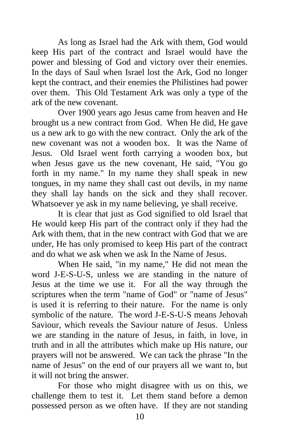As long as Israel had the Ark with them, God would keep His part of the contract and Israel would have the power and blessing of God and victory over their enemies. In the days of Saul when Israel lost the Ark, God no longer kept the contract, and their enemies the Philistines had power over them. This Old Testament Ark was only a type of the ark of the new covenant.

 Over 1900 years ago Jesus came from heaven and He brought us a new contract from God. When He did, He gave us a new ark to go with the new contract. Only the ark of the new covenant was not a wooden box. It was the Name of Jesus. Old Israel went forth carrying a wooden box, but when Jesus gave us the new covenant, He said, "You go forth in my name." In my name they shall speak in new tongues, in my name they shall cast out devils, in my name they shall lay hands on the sick and they shall recover. Whatsoever ye ask in my name believing, ye shall receive.

 It is clear that just as God signified to old Israel that He would keep His part of the contract only if they had the Ark with them, that in the new contract with God that we are under, He has only promised to keep His part of the contract and do what we ask when we ask In the Name of Jesus.

 When He said, "in my name," He did not mean the word J-E-S-U-S, unless we are standing in the nature of Jesus at the time we use it. For all the way through the scriptures when the term "name of God" or "name of Jesus" is used it is referring to their nature. For the name is only symbolic of the nature. The word J-E-S-U-S means Jehovah Saviour, which reveals the Saviour nature of Jesus. Unless we are standing in the nature of Jesus, in faith, in love, in truth and in all the attributes which make up His nature, our prayers will not be answered. We can tack the phrase "In the name of Jesus" on the end of our prayers all we want to, but it will not bring the answer.

 For those who might disagree with us on this, we challenge them to test it. Let them stand before a demon possessed person as we often have. If they are not standing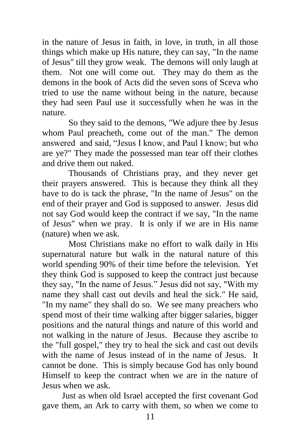in the nature of Jesus in faith, in love, in truth, in all those things which make up His nature, they can say, "In the name of Jesus" till they grow weak. The demons will only laugh at them. Not one will come out. They may do them as the demons in the book of Acts did the seven sons of Sceva who tried to use the name without being in the nature, because they had seen Paul use it successfully when he was in the nature.

So they said to the demons, "We adjure thee by Jesus whom Paul preacheth, come out of the man." The demon answered and said, "Jesus I know, and Paul I know; but who are ye?" They made the possessed man tear off their clothes and drive them out naked.

 Thousands of Christians pray, and they never get their prayers answered. This is because they think all they have to do is tack the phrase, "In the name of Jesus" on the end of their prayer and God is supposed to answer. Jesus did not say God would keep the contract if we say, "In the name of Jesus" when we pray. It is only if we are in His name (nature) when we ask.

 Most Christians make no effort to walk daily in His supernatural nature but walk in the natural nature of this world spending 90% of their time before the television. Yet they think God is supposed to keep the contract just because they say, "In the name of Jesus." Jesus did not say, "With my name they shall cast out devils and heal the sick." He said, "In my name" they shall do so. We see many preachers who spend most of their time walking after bigger salaries, bigger positions and the natural things and nature of this world and not walking in the nature of Jesus. Because they ascribe to the "full gospel," they try to heal the sick and cast out devils with the name of Jesus instead of in the name of Jesus. It cannot be done. This is simply because God has only bound Himself to keep the contract when we are in the nature of Jesus when we ask.

 Just as when old Israel accepted the first covenant God gave them, an Ark to carry with them, so when we come to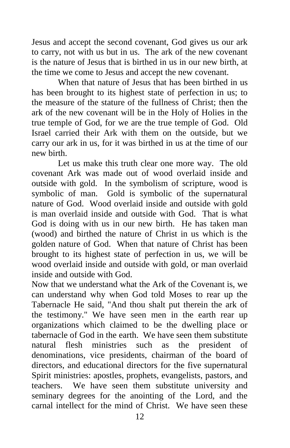Jesus and accept the second covenant, God gives us our ark to carry, not with us but in us. The ark of the new covenant is the nature of Jesus that is birthed in us in our new birth, at the time we come to Jesus and accept the new covenant.

 When that nature of Jesus that has been birthed in us has been brought to its highest state of perfection in us; to the measure of the stature of the fullness of Christ; then the ark of the new covenant will be in the Holy of Holies in the true temple of God, for we are the true temple of God. Old Israel carried their Ark with them on the outside, but we carry our ark in us, for it was birthed in us at the time of our new birth.

 Let us make this truth clear one more way. The old covenant Ark was made out of wood overlaid inside and outside with gold. In the symbolism of scripture, wood is symbolic of man. Gold is symbolic of the supernatural nature of God. Wood overlaid inside and outside with gold is man overlaid inside and outside with God. That is what God is doing with us in our new birth. He has taken man (wood) and birthed the nature of Christ in us which is the golden nature of God. When that nature of Christ has been brought to its highest state of perfection in us, we will be wood overlaid inside and outside with gold, or man overlaid inside and outside with God.

Now that we understand what the Ark of the Covenant is, we can understand why when God told Moses to rear up the Tabernacle He said, "And thou shalt put therein the ark of the testimony." We have seen men in the earth rear up organizations which claimed to be the dwelling place or tabernacle of God in the earth. We have seen them substitute natural flesh ministries such as the president of denominations, vice presidents, chairman of the board of directors, and educational directors for the five supernatural Spirit ministries: apostles, prophets, evangelists, pastors, and teachers. We have seen them substitute university and seminary degrees for the anointing of the Lord, and the carnal intellect for the mind of Christ. We have seen these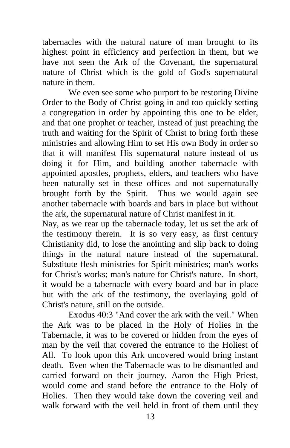tabernacles with the natural nature of man brought to its highest point in efficiency and perfection in them, but we have not seen the Ark of the Covenant, the supernatural nature of Christ which is the gold of God's supernatural nature in them.

 We even see some who purport to be restoring Divine Order to the Body of Christ going in and too quickly setting a congregation in order by appointing this one to be elder, and that one prophet or teacher, instead of just preaching the truth and waiting for the Spirit of Christ to bring forth these ministries and allowing Him to set His own Body in order so that it will manifest His supernatural nature instead of us doing it for Him, and building another tabernacle with appointed apostles, prophets, elders, and teachers who have been naturally set in these offices and not supernaturally brought forth by the Spirit. Thus we would again see another tabernacle with boards and bars in place but without the ark, the supernatural nature of Christ manifest in it.

Nay, as we rear up the tabernacle today, let us set the ark of the testimony therein. It is so very easy, as first century Christianity did, to lose the anointing and slip back to doing things in the natural nature instead of the supernatural. Substitute flesh ministries for Spirit ministries; man's works for Christ's works; man's nature for Christ's nature. In short, it would be a tabernacle with every board and bar in place but with the ark of the testimony, the overlaying gold of Christ's nature, still on the outside.

 Exodus 40:3 "And cover the ark with the veil." When the Ark was to be placed in the Holy of Holies in the Tabernacle, it was to be covered or hidden from the eyes of man by the veil that covered the entrance to the Holiest of All. To look upon this Ark uncovered would bring instant death. Even when the Tabernacle was to be dismantled and carried forward on their journey, Aaron the High Priest, would come and stand before the entrance to the Holy of Holies. Then they would take down the covering veil and walk forward with the veil held in front of them until they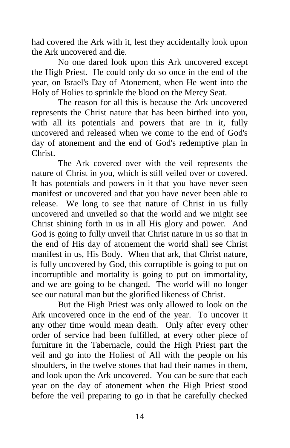had covered the Ark with it, lest they accidentally look upon the Ark uncovered and die.

 No one dared look upon this Ark uncovered except the High Priest. He could only do so once in the end of the year, on Israel's Day of Atonement, when He went into the Holy of Holies to sprinkle the blood on the Mercy Seat.

 The reason for all this is because the Ark uncovered represents the Christ nature that has been birthed into you, with all its potentials and powers that are in it, fully uncovered and released when we come to the end of God's day of atonement and the end of God's redemptive plan in Christ.

 The Ark covered over with the veil represents the nature of Christ in you, which is still veiled over or covered. It has potentials and powers in it that you have never seen manifest or uncovered and that you have never been able to release. We long to see that nature of Christ in us fully uncovered and unveiled so that the world and we might see Christ shining forth in us in all His glory and power. And God is going to fully unveil that Christ nature in us so that in the end of His day of atonement the world shall see Christ manifest in us, His Body. When that ark, that Christ nature, is fully uncovered by God, this corruptible is going to put on incorruptible and mortality is going to put on immortality, and we are going to be changed. The world will no longer see our natural man but the glorified likeness of Christ.

But the High Priest was only allowed to look on the Ark uncovered once in the end of the year. To uncover it any other time would mean death. Only after every other order of service had been fulfilled, at every other piece of furniture in the Tabernacle, could the High Priest part the veil and go into the Holiest of All with the people on his shoulders, in the twelve stones that had their names in them, and look upon the Ark uncovered. You can be sure that each year on the day of atonement when the High Priest stood before the veil preparing to go in that he carefully checked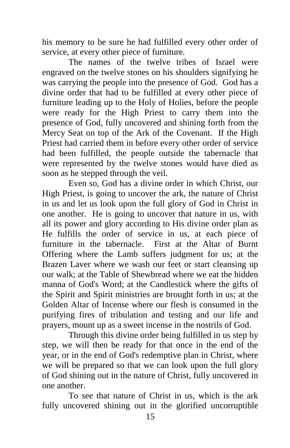his memory to be sure he had fulfilled every other order of service, at every other piece of furniture.

 The names of the twelve tribes of Israel were engraved on the twelve stones on his shoulders signifying he was carrying the people into the presence of God. God has a divine order that had to be fulfilled at every other piece of furniture leading up to the Holy of Holies, before the people were ready for the High Priest to carry them into the presence of God, fully uncovered and shining forth from the Mercy Seat on top of the Ark of the Covenant. If the High Priest had carried them in before every other order of service had been fulfilled, the people outside the tabernacle that were represented by the twelve stones would have died as soon as he stepped through the veil.

 Even so, God has a divine order in which Christ, our High Priest, is going to uncover the ark, the nature of Christ in us and let us look upon the full glory of God in Christ in one another. He is going to uncover that nature in us, with all its power and glory according to His divine order plan as He fulfills the order of service in us, at each piece of furniture in the tabernacle. First at the Altar of Burnt Offering where the Lamb suffers judgment for us; at the Brazen Laver where we wash our feet or start cleansing up our walk; at the Table of Shewbread where we eat the hidden manna of God's Word; at the Candlestick where the gifts of the Spirit and Spirit ministries are brought forth in us; at the Golden Altar of Incense where our flesh is consumed in the purifying fires of tribulation and testing and our life and prayers, mount up as a sweet incense in the nostrils of God.

Through this divine order being fulfilled in us step by step, we will then be ready for that once in the end of the year, or in the end of God's redemptive plan in Christ, where we will be prepared so that we can look upon the full glory of God shining out in the nature of Christ, fully uncovered in one another.

 To see that nature of Christ in us, which is the ark fully uncovered shining out in the glorified uncorruptible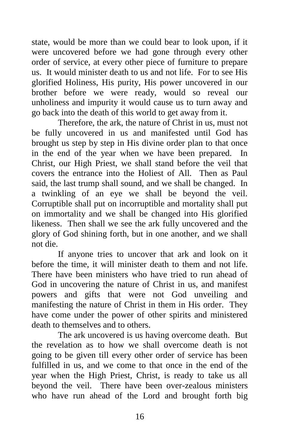state, would be more than we could bear to look upon, if it were uncovered before we had gone through every other order of service, at every other piece of furniture to prepare us. It would minister death to us and not life. For to see His glorified Holiness, His purity, His power uncovered in our brother before we were ready, would so reveal our unholiness and impurity it would cause us to turn away and go back into the death of this world to get away from it.

 Therefore, the ark, the nature of Christ in us, must not be fully uncovered in us and manifested until God has brought us step by step in His divine order plan to that once in the end of the year when we have been prepared. In Christ, our High Priest, we shall stand before the veil that covers the entrance into the Holiest of All. Then as Paul said, the last trump shall sound, and we shall be changed. In a twinkling of an eye we shall be beyond the veil. Corruptible shall put on incorruptible and mortality shall put on immortality and we shall be changed into His glorified likeness. Then shall we see the ark fully uncovered and the glory of God shining forth, but in one another, and we shall not die.

 If anyone tries to uncover that ark and look on it before the time, it will minister death to them and not life. There have been ministers who have tried to run ahead of God in uncovering the nature of Christ in us, and manifest powers and gifts that were not God unveiling and manifesting the nature of Christ in them in His order. They have come under the power of other spirits and ministered death to themselves and to others.

 The ark uncovered is us having overcome death. But the revelation as to how we shall overcome death is not going to be given till every other order of service has been fulfilled in us, and we come to that once in the end of the year when the High Priest, Christ, is ready to take us all beyond the veil. There have been over-zealous ministers who have run ahead of the Lord and brought forth big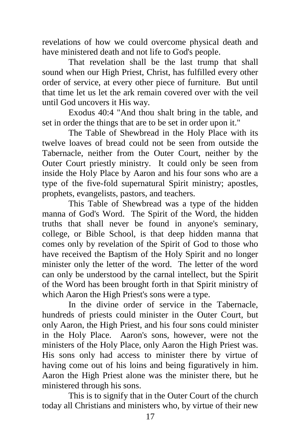revelations of how we could overcome physical death and have ministered death and not life to God's people.

 That revelation shall be the last trump that shall sound when our High Priest, Christ, has fulfilled every other order of service, at every other piece of furniture. But until that time let us let the ark remain covered over with the veil until God uncovers it His way.

 Exodus 40:4 "And thou shalt bring in the table, and set in order the things that are to be set in order upon it."

 The Table of Shewbread in the Holy Place with its twelve loaves of bread could not be seen from outside the Tabernacle, neither from the Outer Court, neither by the Outer Court priestly ministry. It could only be seen from inside the Holy Place by Aaron and his four sons who are a type of the five-fold supernatural Spirit ministry; apostles, prophets, evangelists, pastors, and teachers.

 This Table of Shewbread was a type of the hidden manna of God's Word. The Spirit of the Word, the hidden truths that shall never be found in anyone's seminary, college, or Bible School, is that deep hidden manna that comes only by revelation of the Spirit of God to those who have received the Baptism of the Holy Spirit and no longer minister only the letter of the word. The letter of the word can only be understood by the carnal intellect, but the Spirit of the Word has been brought forth in that Spirit ministry of which Aaron the High Priest's sons were a type.

 In the divine order of service in the Tabernacle, hundreds of priests could minister in the Outer Court, but only Aaron, the High Priest, and his four sons could minister in the Holy Place. Aaron's sons, however, were not the ministers of the Holy Place, only Aaron the High Priest was. His sons only had access to minister there by virtue of having come out of his loins and being figuratively in him. Aaron the High Priest alone was the minister there, but he ministered through his sons.

 This is to signify that in the Outer Court of the church today all Christians and ministers who, by virtue of their new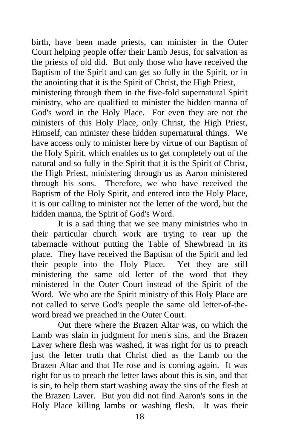birth, have been made priests, can minister in the Outer Court helping people offer their Lamb Jesus, for salvation as the priests of old did. But only those who have received the Baptism of the Spirit and can get so fully in the Spirit, or in the anointing that it is the Spirit of Christ, the High Priest,

ministering through them in the five-fold supernatural Spirit ministry, who are qualified to minister the hidden manna of God's word in the Holy Place. For even they are not the ministers of this Holy Place, only Christ, the High Priest, Himself, can minister these hidden supernatural things. We have access only to minister here by virtue of our Baptism of the Holy Spirit, which enables us to get completely out of the natural and so fully in the Spirit that it is the Spirit of Christ, the High Priest, ministering through us as Aaron ministered through his sons. Therefore, we who have received the Baptism of the Holy Spirit, and entered into the Holy Place, it is our calling to minister not the letter of the word, but the hidden manna, the Spirit of God's Word.

 It is a sad thing that we see many ministries who in their particular church work are trying to rear up the tabernacle without putting the Table of Shewbread in its place. They have received the Baptism of the Spirit and led their people into the Holy Place. Yet they are still ministering the same old letter of the word that they ministered in the Outer Court instead of the Spirit of the Word. We who are the Spirit ministry of this Holy Place are not called to serve God's people the same old letter-of-theword bread we preached in the Outer Court.

 Out there where the Brazen Altar was, on which the Lamb was slain in judgment for men's sins, and the Brazen Laver where flesh was washed, it was right for us to preach just the letter truth that Christ died as the Lamb on the Brazen Altar and that He rose and is coming again. It was right for us to preach the letter laws about this is sin, and that is sin, to help them start washing away the sins of the flesh at the Brazen Laver. But you did not find Aaron's sons in the Holy Place killing lambs or washing flesh. It was their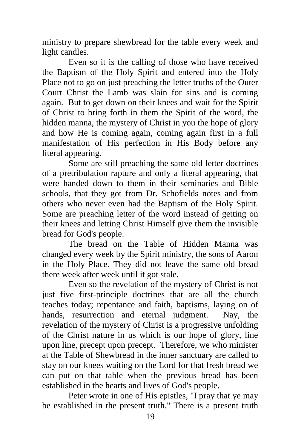ministry to prepare shewbread for the table every week and light candles.

 Even so it is the calling of those who have received the Baptism of the Holy Spirit and entered into the Holy Place not to go on just preaching the letter truths of the Outer Court Christ the Lamb was slain for sins and is coming again. But to get down on their knees and wait for the Spirit of Christ to bring forth in them the Spirit of the word, the hidden manna, the mystery of Christ in you the hope of glory and how He is coming again, coming again first in a full manifestation of His perfection in His Body before any literal appearing.

 Some are still preaching the same old letter doctrines of a pretribulation rapture and only a literal appearing, that were handed down to them in their seminaries and Bible schools, that they got from Dr. Schofields notes and from others who never even had the Baptism of the Holy Spirit. Some are preaching letter of the word instead of getting on their knees and letting Christ Himself give them the invisible bread for God's people.

 The bread on the Table of Hidden Manna was changed every week by the Spirit ministry, the sons of Aaron in the Holy Place. They did not leave the same old bread there week after week until it got stale.

 Even so the revelation of the mystery of Christ is not just five first-principle doctrines that are all the church teaches today; repentance and faith, baptisms, laying on of hands, resurrection and eternal judgment. Nay, the revelation of the mystery of Christ is a progressive unfolding of the Christ nature in us which is our hope of glory, line upon line, precept upon precept. Therefore, we who minister at the Table of Shewbread in the inner sanctuary are called to stay on our knees waiting on the Lord for that fresh bread we can put on that table when the previous bread has been established in the hearts and lives of God's people.

 Peter wrote in one of His epistles, "I pray that ye may be established in the present truth." There is a present truth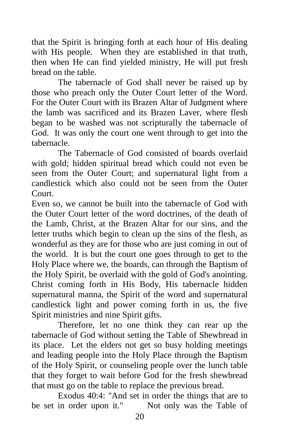that the Spirit is bringing forth at each hour of His dealing with His people. When they are established in that truth, then when He can find yielded ministry, He will put fresh bread on the table.

 The tabernacle of God shall never be raised up by those who preach only the Outer Court letter of the Word. For the Outer Court with its Brazen Altar of Judgment where the lamb was sacrificed and its Brazen Laver, where flesh began to be washed was not scripturally the tabernacle of God. It was only the court one went through to get into the tabernacle.

 The Tabernacle of God consisted of boards overlaid with gold; hidden spiritual bread which could not even be seen from the Outer Court; and supernatural light from a candlestick which also could not be seen from the Outer Court.

Even so, we cannot be built into the tabernacle of God with the Outer Court letter of the word doctrines, of the death of the Lamb, Christ, at the Brazen Altar for our sins, and the letter truths which begin to clean up the sins of the flesh, as wonderful as they are for those who are just coming in out of the world. It is but the court one goes through to get to the Holy Place where we, the boards, can through the Baptism of the Holy Spirit, be overlaid with the gold of God's anointing. Christ coming forth in His Body, His tabernacle hidden supernatural manna, the Spirit of the word and supernatural candlestick light and power coming forth in us, the five Spirit ministries and nine Spirit gifts.

 Therefore, let no one think they can rear up the tabernacle of God without setting the Table of Shewbread in its place. Let the elders not get so busy holding meetings and leading people into the Holy Place through the Baptism of the Holy Spirit, or counseling people over the lunch table that they forget to wait before God for the fresh shewbread that must go on the table to replace the previous bread.

 Exodus 40:4: "And set in order the things that are to be set in order upon it." Not only was the Table of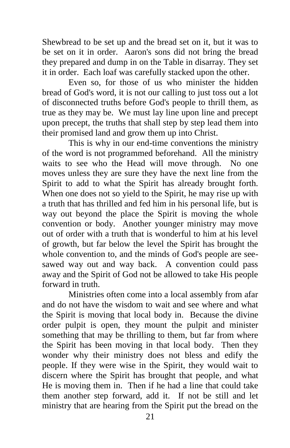Shewbread to be set up and the bread set on it, but it was to be set on it in order. Aaron's sons did not bring the bread they prepared and dump in on the Table in disarray. They set it in order. Each loaf was carefully stacked upon the other.

 Even so, for those of us who minister the hidden bread of God's word, it is not our calling to just toss out a lot of disconnected truths before God's people to thrill them, as true as they may be. We must lay line upon line and precept upon precept, the truths that shall step by step lead them into their promised land and grow them up into Christ.

 This is why in our end-time conventions the ministry of the word is not programmed beforehand. All the ministry waits to see who the Head will move through. No one moves unless they are sure they have the next line from the Spirit to add to what the Spirit has already brought forth. When one does not so yield to the Spirit, he may rise up with a truth that has thrilled and fed him in his personal life, but is way out beyond the place the Spirit is moving the whole convention or body. Another younger ministry may move out of order with a truth that is wonderful to him at his level of growth, but far below the level the Spirit has brought the whole convention to, and the minds of God's people are seesawed way out and way back. A convention could pass away and the Spirit of God not be allowed to take His people forward in truth.

 Ministries often come into a local assembly from afar and do not have the wisdom to wait and see where and what the Spirit is moving that local body in. Because the divine order pulpit is open, they mount the pulpit and minister something that may be thrilling to them, but far from where the Spirit has been moving in that local body. Then they wonder why their ministry does not bless and edify the people. If they were wise in the Spirit, they would wait to discern where the Spirit has brought that people, and what He is moving them in. Then if he had a line that could take them another step forward, add it. If not be still and let ministry that are hearing from the Spirit put the bread on the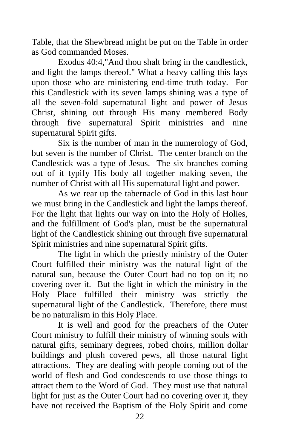Table, that the Shewbread might be put on the Table in order as God commanded Moses.

 Exodus 40:4,"And thou shalt bring in the candlestick, and light the lamps thereof." What a heavy calling this lays upon those who are ministering end-time truth today. For this Candlestick with its seven lamps shining was a type of all the seven-fold supernatural light and power of Jesus Christ, shining out through His many membered Body through five supernatural Spirit ministries and nine supernatural Spirit gifts.

 Six is the number of man in the numerology of God, but seven is the number of Christ. The center branch on the Candlestick was a type of Jesus. The six branches coming out of it typify His body all together making seven, the number of Christ with all His supernatural light and power.

 As we rear up the tabernacle of God in this last hour we must bring in the Candlestick and light the lamps thereof. For the light that lights our way on into the Holy of Holies, and the fulfillment of God's plan, must be the supernatural light of the Candlestick shining out through five supernatural Spirit ministries and nine supernatural Spirit gifts.

 The light in which the priestly ministry of the Outer Court fulfilled their ministry was the natural light of the natural sun, because the Outer Court had no top on it; no covering over it. But the light in which the ministry in the Holy Place fulfilled their ministry was strictly the supernatural light of the Candlestick. Therefore, there must be no naturalism in this Holy Place.

It is well and good for the preachers of the Outer Court ministry to fulfill their ministry of winning souls with natural gifts, seminary degrees, robed choirs, million dollar buildings and plush covered pews, all those natural light attractions. They are dealing with people coming out of the world of flesh and God condescends to use those things to attract them to the Word of God. They must use that natural light for just as the Outer Court had no covering over it, they have not received the Baptism of the Holy Spirit and come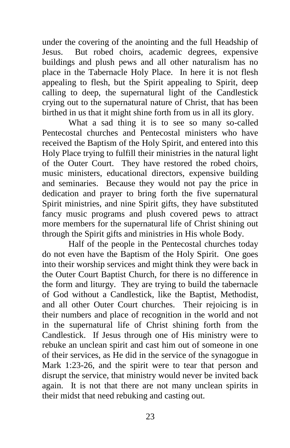under the covering of the anointing and the full Headship of Jesus. But robed choirs, academic degrees, expensive buildings and plush pews and all other naturalism has no place in the Tabernacle Holy Place. In here it is not flesh appealing to flesh, but the Spirit appealing to Spirit, deep calling to deep, the supernatural light of the Candlestick crying out to the supernatural nature of Christ, that has been birthed in us that it might shine forth from us in all its glory.

 What a sad thing it is to see so many so-called Pentecostal churches and Pentecostal ministers who have received the Baptism of the Holy Spirit, and entered into this Holy Place trying to fulfill their ministries in the natural light of the Outer Court. They have restored the robed choirs, music ministers, educational directors, expensive building and seminaries. Because they would not pay the price in dedication and prayer to bring forth the five supernatural Spirit ministries, and nine Spirit gifts, they have substituted fancy music programs and plush covered pews to attract more members for the supernatural life of Christ shining out through the Spirit gifts and ministries in His whole Body.

 Half of the people in the Pentecostal churches today do not even have the Baptism of the Holy Spirit. One goes into their worship services and might think they were back in the Outer Court Baptist Church, for there is no difference in the form and liturgy. They are trying to build the tabernacle of God without a Candlestick, like the Baptist, Methodist, and all other Outer Court churches. Their rejoicing is in their numbers and place of recognition in the world and not in the supernatural life of Christ shining forth from the Candlestick. If Jesus through one of His ministry were to rebuke an unclean spirit and cast him out of someone in one of their services, as He did in the service of the synagogue in Mark 1:23-26, and the spirit were to tear that person and disrupt the service, that ministry would never be invited back again. It is not that there are not many unclean spirits in their midst that need rebuking and casting out.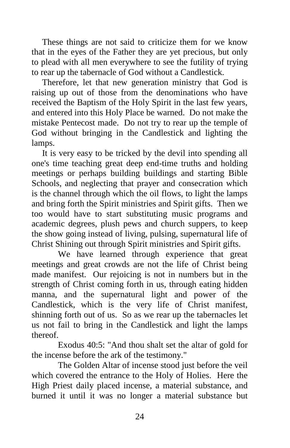These things are not said to criticize them for we know that in the eyes of the Father they are yet precious, but only to plead with all men everywhere to see the futility of trying to rear up the tabernacle of God without a Candlestick.

 Therefore, let that new generation ministry that God is raising up out of those from the denominations who have received the Baptism of the Holy Spirit in the last few years, and entered into this Holy Place be warned. Do not make the mistake Pentecost made. Do not try to rear up the temple of God without bringing in the Candlestick and lighting the lamps.

 It is very easy to be tricked by the devil into spending all one's time teaching great deep end-time truths and holding meetings or perhaps building buildings and starting Bible Schools, and neglecting that prayer and consecration which is the channel through which the oil flows, to light the lamps and bring forth the Spirit ministries and Spirit gifts. Then we too would have to start substituting music programs and academic degrees, plush pews and church suppers, to keep the show going instead of living, pulsing, supernatural life of Christ Shining out through Spirit ministries and Spirit gifts.

 We have learned through experience that great meetings and great crowds are not the life of Christ being made manifest. Our rejoicing is not in numbers but in the strength of Christ coming forth in us, through eating hidden manna, and the supernatural light and power of the Candlestick, which is the very life of Christ manifest, shinning forth out of us. So as we rear up the tabernacles let us not fail to bring in the Candlestick and light the lamps thereof.

 Exodus 40:5: "And thou shalt set the altar of gold for the incense before the ark of the testimony."

 The Golden Altar of incense stood just before the veil which covered the entrance to the Holy of Holies. Here the High Priest daily placed incense, a material substance, and burned it until it was no longer a material substance but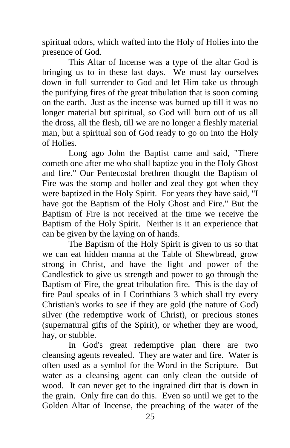spiritual odors, which wafted into the Holy of Holies into the presence of God.

 This Altar of Incense was a type of the altar God is bringing us to in these last days. We must lay ourselves down in full surrender to God and let Him take us through the purifying fires of the great tribulation that is soon coming on the earth. Just as the incense was burned up till it was no longer material but spiritual, so God will burn out of us all the dross, all the flesh, till we are no longer a fleshly material man, but a spiritual son of God ready to go on into the Holy of Holies.

 Long ago John the Baptist came and said, "There cometh one after me who shall baptize you in the Holy Ghost and fire." Our Pentecostal brethren thought the Baptism of Fire was the stomp and holler and zeal they got when they were baptized in the Holy Spirit. For years they have said, "I have got the Baptism of the Holy Ghost and Fire." But the Baptism of Fire is not received at the time we receive the Baptism of the Holy Spirit. Neither is it an experience that can be given by the laying on of hands.

 The Baptism of the Holy Spirit is given to us so that we can eat hidden manna at the Table of Shewbread, grow strong in Christ, and have the light and power of the Candlestick to give us strength and power to go through the Baptism of Fire, the great tribulation fire. This is the day of fire Paul speaks of in I Corinthians 3 which shall try every Christian's works to see if they are gold (the nature of God) silver (the redemptive work of Christ), or precious stones (supernatural gifts of the Spirit), or whether they are wood, hay, or stubble.

 In God's great redemptive plan there are two cleansing agents revealed. They are water and fire. Water is often used as a symbol for the Word in the Scripture. But water as a cleansing agent can only clean the outside of wood. It can never get to the ingrained dirt that is down in the grain. Only fire can do this. Even so until we get to the Golden Altar of Incense, the preaching of the water of the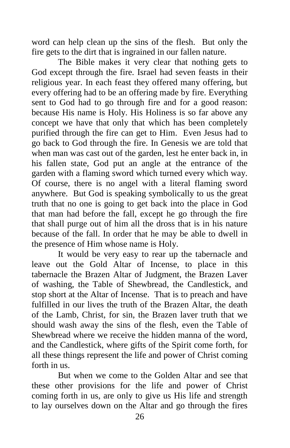word can help clean up the sins of the flesh. But only the fire gets to the dirt that is ingrained in our fallen nature.

 The Bible makes it very clear that nothing gets to God except through the fire. Israel had seven feasts in their religious year. In each feast they offered many offering, but every offering had to be an offering made by fire. Everything sent to God had to go through fire and for a good reason: because His name is Holy. His Holiness is so far above any concept we have that only that which has been completely purified through the fire can get to Him. Even Jesus had to go back to God through the fire. In Genesis we are told that when man was cast out of the garden, lest he enter back in, in his fallen state, God put an angle at the entrance of the garden with a flaming sword which turned every which way. Of course, there is no angel with a literal flaming sword anywhere. But God is speaking symbolically to us the great truth that no one is going to get back into the place in God that man had before the fall, except he go through the fire that shall purge out of him all the dross that is in his nature because of the fall. In order that he may be able to dwell in the presence of Him whose name is Holy.

 It would be very easy to rear up the tabernacle and leave out the Gold Altar of Incense, to place in this tabernacle the Brazen Altar of Judgment, the Brazen Laver of washing, the Table of Shewbread, the Candlestick, and stop short at the Altar of Incense. That is to preach and have fulfilled in our lives the truth of the Brazen Altar, the death of the Lamb, Christ, for sin, the Brazen laver truth that we should wash away the sins of the flesh, even the Table of Shewbread where we receive the hidden manna of the word, and the Candlestick, where gifts of the Spirit come forth, for all these things represent the life and power of Christ coming forth in us.

 But when we come to the Golden Altar and see that these other provisions for the life and power of Christ coming forth in us, are only to give us His life and strength to lay ourselves down on the Altar and go through the fires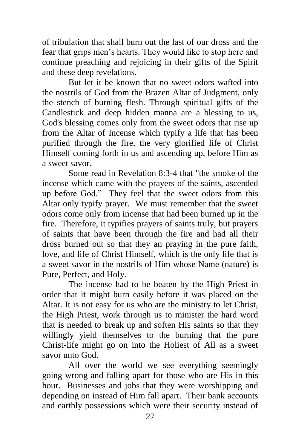of tribulation that shall burn out the last of our dross and the fear that grips men's hearts. They would like to stop here and continue preaching and rejoicing in their gifts of the Spirit and these deep revelations.

 But let it be known that no sweet odors wafted into the nostrils of God from the Brazen Altar of Judgment, only the stench of burning flesh. Through spiritual gifts of the Candlestick and deep hidden manna are a blessing to us, God's blessing comes only from the sweet odors that rise up from the Altar of Incense which typify a life that has been purified through the fire, the very glorified life of Christ Himself coming forth in us and ascending up, before Him as a sweet savor.

 Some read in Revelation 8:3-4 that "the smoke of the incense which came with the prayers of the saints, ascended up before God." They feel that the sweet odors from this Altar only typify prayer. We must remember that the sweet odors come only from incense that had been burned up in the fire. Therefore, it typifies prayers of saints truly, but prayers of saints that have been through the fire and had all their dross burned out so that they an praying in the pure faith, love, and life of Christ Himself, which is the only life that is a sweet savor in the nostrils of Him whose Name (nature) is Pure, Perfect, and Holy.

 The incense had to be beaten by the High Priest in order that it might burn easily before it was placed on the Altar. It is not easy for us who are the ministry to let Christ, the High Priest, work through us to minister the hard word that is needed to break up and soften His saints so that they willingly yield themselves to the burning that the pure Christ-life might go on into the Holiest of All as a sweet savor unto God.

 All over the world we see everything seemingly going wrong and falling apart for those who are His in this hour. Businesses and jobs that they were worshipping and depending on instead of Him fall apart. Their bank accounts and earthly possessions which were their security instead of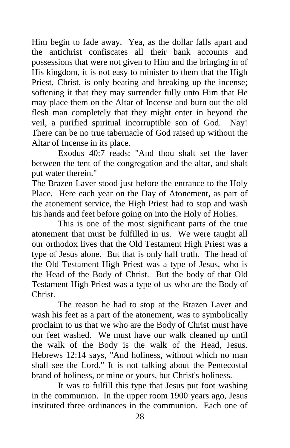Him begin to fade away. Yea, as the dollar falls apart and the antichrist confiscates all their bank accounts and possessions that were not given to Him and the bringing in of His kingdom, it is not easy to minister to them that the High Priest, Christ, is only beating and breaking up the incense; softening it that they may surrender fully unto Him that He may place them on the Altar of Incense and burn out the old flesh man completely that they might enter in beyond the veil, a purified spiritual incorruptible son of God. Nay! There can be no true tabernacle of God raised up without the Altar of Incense in its place.

 Exodus 40:7 reads: "And thou shalt set the laver between the tent of the congregation and the altar, and shalt put water therein."

The Brazen Laver stood just before the entrance to the Holy Place. Here each year on the Day of Atonement, as part of the atonement service, the High Priest had to stop and wash his hands and feet before going on into the Holy of Holies.

 This is one of the most significant parts of the true atonement that must be fulfilled in us. We were taught all our orthodox lives that the Old Testament High Priest was a type of Jesus alone. But that is only half truth. The head of the Old Testament High Priest was a type of Jesus, who is the Head of the Body of Christ. But the body of that Old Testament High Priest was a type of us who are the Body of Christ.

 The reason he had to stop at the Brazen Laver and wash his feet as a part of the atonement, was to symbolically proclaim to us that we who are the Body of Christ must have our feet washed. We must have our walk cleaned up until the walk of the Body is the walk of the Head, Jesus. Hebrews 12:14 says, "And holiness, without which no man shall see the Lord." It is not talking about the Pentecostal brand of holiness, or mine or yours, but Christ's holiness.

 It was to fulfill this type that Jesus put foot washing in the communion. In the upper room 1900 years ago, Jesus instituted three ordinances in the communion. Each one of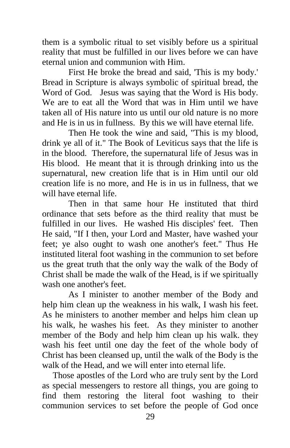them is a symbolic ritual to set visibly before us a spiritual reality that must be fulfilled in our lives before we can have eternal union and communion with Him.

 First He broke the bread and said, 'This is my body.' Bread in Scripture is always symbolic of spiritual bread, the Word of God. Jesus was saying that the Word is His body. We are to eat all the Word that was in Him until we have taken all of His nature into us until our old nature is no more and He is in us in fullness. By this we will have eternal life.

 Then He took the wine and said, "This is my blood, drink ye all of it." The Book of Leviticus says that the life is in the blood. Therefore, the supernatural life of Jesus was in His blood. He meant that it is through drinking into us the supernatural, new creation life that is in Him until our old creation life is no more, and He is in us in fullness, that we will have eternal life.

 Then in that same hour He instituted that third ordinance that sets before as the third reality that must be fulfilled in our lives. He washed His disciples' feet. Then He said, "If I then, your Lord and Master, have washed your feet; ye also ought to wash one another's feet." Thus He instituted literal foot washing in the communion to set before us the great truth that the only way the walk of the Body of Christ shall be made the walk of the Head, is if we spiritually wash one another's feet.

 As I minister to another member of the Body and help him clean up the weakness in his walk, I wash his feet. As he ministers to another member and helps him clean up his walk, he washes his feet. As they minister to another member of the Body and help him clean up his walk. they wash his feet until one day the feet of the whole body of Christ has been cleansed up, until the walk of the Body is the walk of the Head, and we will enter into eternal life.

 Those apostles of the Lord who are truly sent by the Lord as special messengers to restore all things, you are going to find them restoring the literal foot washing to their communion services to set before the people of God once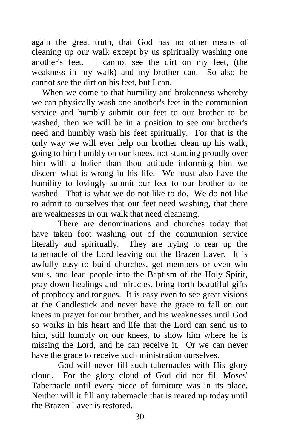again the great truth, that God has no other means of cleaning up our walk except by us spiritually washing one another's feet. I cannot see the dirt on my feet, (the weakness in my walk) and my brother can. So also he cannot see the dirt on his feet, but I can.

 When we come to that humility and brokenness whereby we can physically wash one another's feet in the communion service and humbly submit our feet to our brother to be washed, then we will be in a position to see our brother's need and humbly wash his feet spiritually. For that is the only way we will ever help our brother clean up his walk, going to him humbly on our knees, not standing proudly over him with a holier than thou attitude informing him we discern what is wrong in his life. We must also have the humility to lovingly submit our feet to our brother to be washed. That is what we do not like to do. We do not like to admit to ourselves that our feet need washing, that there are weaknesses in our walk that need cleansing.

There are denominations and churches today that have taken foot washing out of the communion service literally and spiritually. They are trying to rear up the tabernacle of the Lord leaving out the Brazen Laver. It is awfully easy to build churches, get members or even win souls, and lead people into the Baptism of the Holy Spirit, pray down healings and miracles, bring forth beautiful gifts of prophecy and tongues. It is easy even to see great visions at the Candlestick and never have the grace to fall on our knees in prayer for our brother, and his weaknesses until God so works in his heart and life that the Lord can send us to him, still humbly on our knees, to show him where he is missing the Lord, and he can receive it. Or we can never have the grace to receive such ministration ourselves.

 God will never fill such tabernacles with His glory cloud. For the glory cloud of God did not fill Moses' Tabernacle until every piece of furniture was in its place. Neither will it fill any tabernacle that is reared up today until the Brazen Laver is restored.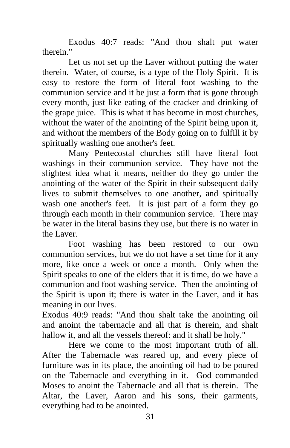Exodus 40:7 reads: "And thou shalt put water therein."

 Let us not set up the Laver without putting the water therein. Water, of course, is a type of the Holy Spirit. It is easy to restore the form of literal foot washing to the communion service and it be just a form that is gone through every month, just like eating of the cracker and drinking of the grape juice. This is what it has become in most churches, without the water of the anointing of the Spirit being upon it, and without the members of the Body going on to fulfill it by spiritually washing one another's feet.

 Many Pentecostal churches still have literal foot washings in their communion service. They have not the slightest idea what it means, neither do they go under the anointing of the water of the Spirit in their subsequent daily lives to submit themselves to one another, and spiritually wash one another's feet. It is just part of a form they go through each month in their communion service. There may be water in the literal basins they use, but there is no water in the Laver.

 Foot washing has been restored to our own communion services, but we do not have a set time for it any more, like once a week or once a month. Only when the Spirit speaks to one of the elders that it is time, do we have a communion and foot washing service. Then the anointing of the Spirit is upon it; there is water in the Laver, and it has meaning in our lives.

Exodus 40:9 reads: "And thou shalt take the anointing oil and anoint the tabernacle and all that is therein, and shalt hallow it, and all the vessels thereof: and it shall be holy."

 Here we come to the most important truth of all. After the Tabernacle was reared up, and every piece of furniture was in its place, the anointing oil had to be poured on the Tabernacle and everything in it. God commanded Moses to anoint the Tabernacle and all that is therein. The Altar, the Laver, Aaron and his sons, their garments, everything had to be anointed.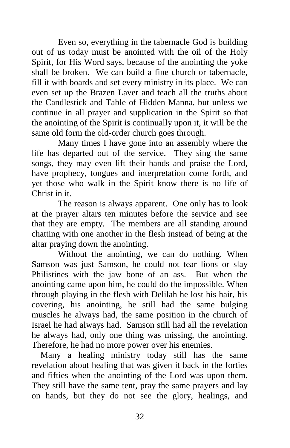Even so, everything in the tabernacle God is building out of us today must be anointed with the oil of the Holy Spirit, for His Word says, because of the anointing the yoke shall be broken. We can build a fine church or tabernacle, fill it with boards and set every ministry in its place. We can even set up the Brazen Laver and teach all the truths about the Candlestick and Table of Hidden Manna, but unless we continue in all prayer and supplication in the Spirit so that the anointing of the Spirit is continually upon it, it will be the same old form the old-order church goes through.

 Many times I have gone into an assembly where the life has departed out of the service. They sing the same songs, they may even lift their hands and praise the Lord, have prophecy, tongues and interpretation come forth, and yet those who walk in the Spirit know there is no life of Christ in it.

 The reason is always apparent. One only has to look at the prayer altars ten minutes before the service and see that they are empty. The members are all standing around chatting with one another in the flesh instead of being at the altar praying down the anointing.

 Without the anointing, we can do nothing. When Samson was just Samson, he could not tear lions or slay Philistines with the jaw bone of an ass. But when the anointing came upon him, he could do the impossible. When through playing in the flesh with Delilah he lost his hair, his covering, his anointing, he still had the same bulging muscles he always had, the same position in the church of Israel he had always had. Samson still had all the revelation he always had, only one thing was missing, the anointing. Therefore, he had no more power over his enemies.

 Many a healing ministry today still has the same revelation about healing that was given it back in the forties and fifties when the anointing of the Lord was upon them. They still have the same tent, pray the same prayers and lay on hands, but they do not see the glory, healings, and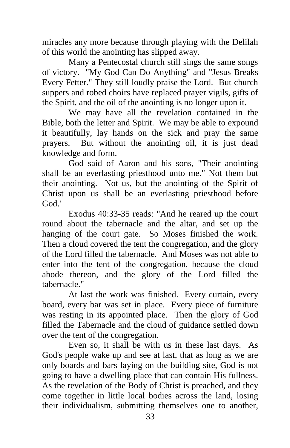miracles any more because through playing with the Delilah of this world the anointing has slipped away.

 Many a Pentecostal church still sings the same songs of victory. "My God Can Do Anything" and "Jesus Breaks Every Fetter." They still loudly praise the Lord. But church suppers and robed choirs have replaced prayer vigils, gifts of the Spirit, and the oil of the anointing is no longer upon it.

 We may have all the revelation contained in the Bible, both the letter and Spirit. We may be able to expound it beautifully, lay hands on the sick and pray the same prayers. But without the anointing oil, it is just dead knowledge and form.

 God said of Aaron and his sons, "Their anointing shall be an everlasting priesthood unto me." Not them but their anointing. Not us, but the anointing of the Spirit of Christ upon us shall be an everlasting priesthood before God.'

 Exodus 40:33-35 reads: "And he reared up the court round about the tabernacle and the altar, and set up the hanging of the court gate. So Moses finished the work. Then a cloud covered the tent the congregation, and the glory of the Lord filled the tabernacle. And Moses was not able to enter into the tent of the congregation, because the cloud abode thereon, and the glory of the Lord filled the tabernacle."

 At last the work was finished. Every curtain, every board, every bar was set in place. Every piece of furniture was resting in its appointed place. Then the glory of God filled the Tabernacle and the cloud of guidance settled down over the tent of the congregation.

 Even so, it shall be with us in these last days. As God's people wake up and see at last, that as long as we are only boards and bars laying on the building site, God is not going to have a dwelling place that can contain His fullness. As the revelation of the Body of Christ is preached, and they come together in little local bodies across the land, losing their individualism, submitting themselves one to another,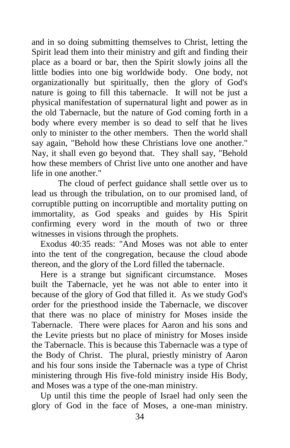and in so doing submitting themselves to Christ, letting the Spirit lead them into their ministry and gift and finding their place as a board or bar, then the Spirit slowly joins all the little bodies into one big worldwide body. One body, not organizationally but spiritually, then the glory of God's nature is going to fill this tabernacle. It will not be just a physical manifestation of supernatural light and power as in the old Tabernacle, but the nature of God coming forth in a body where every member is so dead to self that he lives only to minister to the other members. Then the world shall say again, "Behold how these Christians love one another." Nay, it shall even go beyond that. They shall say, "Behold how these members of Christ live unto one another and have life in one another."

 The cloud of perfect guidance shall settle over us to lead us through the tribulation, on to our promised land, of corruptible putting on incorruptible and mortality putting on immortality, as God speaks and guides by His Spirit confirming every word in the mouth of two or three witnesses in visions through the prophets.

 Exodus 40:35 reads: "And Moses was not able to enter into the tent of the congregation, because the cloud abode thereon, and the glory of the Lord filled the tabernacle.

 Here is a strange but significant circumstance. Moses built the Tabernacle, yet he was not able to enter into it because of the glory of God that filled it. As we study God's order for the priesthood inside the Tabernacle, we discover that there was no place of ministry for Moses inside the Tabernacle. There were places for Aaron and his sons and the Levite priests but no place of ministry for Moses inside the Tabernacle. This is because this Tabernacle was a type of the Body of Christ. The plural, priestly ministry of Aaron and his four sons inside the Tabernacle was a type of Christ ministering through His five-fold ministry inside His Body, and Moses was a type of the one-man ministry.

 Up until this time the people of Israel had only seen the glory of God in the face of Moses, a one-man ministry.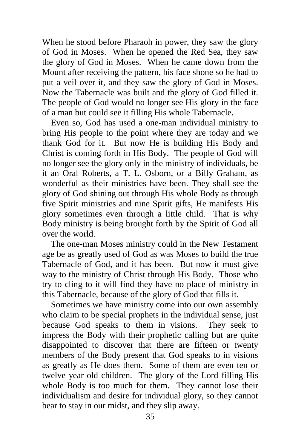When he stood before Pharaoh in power, they saw the glory of God in Moses. When he opened the Red Sea, they saw the glory of God in Moses. When he came down from the Mount after receiving the pattern, his face shone so he had to put a veil over it, and they saw the glory of God in Moses. Now the Tabernacle was built and the glory of God filled it. The people of God would no longer see His glory in the face of a man but could see it filling His whole Tabernacle.

 Even so, God has used a one-man individual ministry to bring His people to the point where they are today and we thank God for it. But now He is building His Body and Christ is coming forth in His Body. The people of God will no longer see the glory only in the ministry of individuals, be it an Oral Roberts, a T. L. Osborn, or a Billy Graham, as wonderful as their ministries have been. They shall see the glory of God shining out through His whole Body as through five Spirit ministries and nine Spirit gifts, He manifests His glory sometimes even through a little child. That is why Body ministry is being brought forth by the Spirit of God all over the world.

 The one-man Moses ministry could in the New Testament age be as greatly used of God as was Moses to build the true Tabernacle of God, and it has been. But now it must give way to the ministry of Christ through His Body. Those who try to cling to it will find they have no place of ministry in this Tabernacle, because of the glory of God that fills it.

 Sometimes we have ministry come into our own assembly who claim to be special prophets in the individual sense, just because God speaks to them in visions. They seek to impress the Body with their prophetic calling but are quite disappointed to discover that there are fifteen or twenty members of the Body present that God speaks to in visions as greatly as He does them. Some of them are even ten or twelve year old children. The glory of the Lord filling His whole Body is too much for them. They cannot lose their individualism and desire for individual glory, so they cannot bear to stay in our midst, and they slip away.